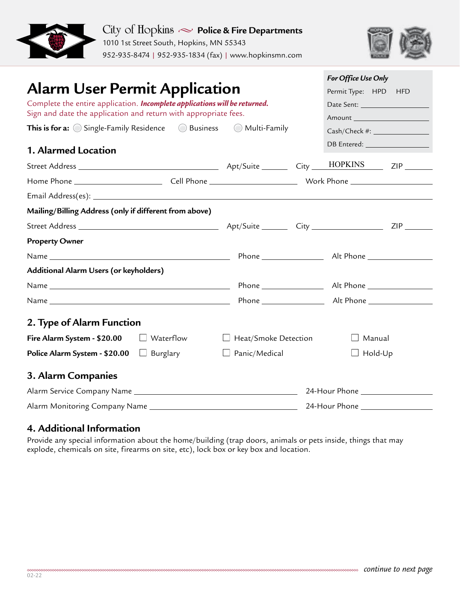



| <b>Alarm User Permit Application</b><br>Complete the entire application. Incomplete applications will be returned. |  |                                |                                  | For Office Use Only            |
|--------------------------------------------------------------------------------------------------------------------|--|--------------------------------|----------------------------------|--------------------------------|
|                                                                                                                    |  |                                |                                  | Permit Type: HPD HFD           |
|                                                                                                                    |  |                                |                                  |                                |
| Sign and date the application and return with appropriate fees.                                                    |  |                                |                                  | Amount _______________________ |
| <b>This is for a:</b> $\bigcirc$ Single-Family Residence $\bigcirc$ Business $\bigcirc$ Multi-Family               |  |                                | Cash/Check #: __________________ |                                |
| 1. Alarmed Location                                                                                                |  |                                |                                  | DB Entered: __________________ |
|                                                                                                                    |  |                                |                                  |                                |
|                                                                                                                    |  |                                |                                  |                                |
|                                                                                                                    |  |                                |                                  |                                |
| Mailing/Billing Address (only if different from above)                                                             |  |                                |                                  |                                |
|                                                                                                                    |  |                                |                                  |                                |
| <b>Property Owner</b>                                                                                              |  |                                |                                  |                                |
|                                                                                                                    |  |                                |                                  |                                |
| Additional Alarm Users (or keyholders)                                                                             |  |                                |                                  |                                |
|                                                                                                                    |  |                                |                                  |                                |
|                                                                                                                    |  |                                |                                  |                                |
| 2. Type of Alarm Function                                                                                          |  |                                |                                  |                                |
| Fire Alarm System - $$20.00$ Waterflow                                                                             |  | Heat/Smoke Detection<br>$\Box$ |                                  | Manual                         |
| <b>Police Alarm System - \$20.00</b> $\Box$ Burglary                                                               |  | Panic/Medical                  |                                  | $\Box$ Hold-Up                 |
| 3. Alarm Companies                                                                                                 |  |                                |                                  |                                |
|                                                                                                                    |  |                                |                                  |                                |
|                                                                                                                    |  |                                |                                  |                                |

## **4. Additional Information**

Provide any special information about the home/building (trap doors, animals or pets inside, things that may explode, chemicals on site, firearms on site, etc), lock box or key box and location.